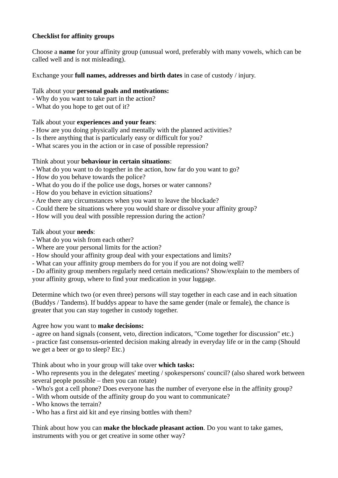# **Checklist for affinity groups**

Choose a **name** for your affinity group (unusual word, preferably with many vowels, which can be called well and is not misleading).

Exchange your **full names, addresses and birth dates** in case of custody / injury.

# Talk about your **personal goals and motivations:**

- Why do you want to take part in the action?
- What do you hope to get out of it?

## Talk about your **experiences and your fears**:

- How are you doing physically and mentally with the planned activities?
- Is there anything that is particularly easy or difficult for you?
- What scares you in the action or in case of possible repression?

## Think about your **behaviour in certain situations**:

- What do you want to do together in the action, how far do you want to go?
- How do you behave towards the police?
- What do you do if the police use dogs, horses or water cannons?
- How do you behave in eviction situations?
- Are there any circumstances when you want to leave the blockade?
- Could there be situations where you would share or dissolve your affinity group?
- How will you deal with possible repression during the action?

## Talk about your **needs**:

- What do you wish from each other?
- Where are your personal limits for the action?
- How should your affinity group deal with your expectations and limits?
- What can your affinity group members do for you if you are not doing well?
- Do affinity group members regularly need certain medications? Show/explain to the members of your affinity group, where to find your medication in your luggage.

Determine which two (or even three) persons will stay together in each case and in each situation (Buddys / Tandems). If buddys appear to have the same gender (male or female), the chance is greater that you can stay together in custody together.

#### Agree how you want to **make decisions:**

- agree on hand signals (consent, veto, direction indicators, "Come together for discussion" etc.) - practice fast consensus-oriented decision making already in everyday life or in the camp (Should we get a beer or go to sleep? Etc.)

Think about who in your group will take over **which tasks:**

- Who represents you in the delegates' meeting / spokespersons' council? (also shared work between several people possible – then you can rotate)

- Who's got a cell phone? Does everyone has the number of everyone else in the affinity group?
- With whom outside of the affinity group do you want to communicate?
- Who knows the terrain?
- Who has a first aid kit and eye rinsing bottles with them?

Think about how you can **make the blockade pleasant action**. Do you want to take games, instruments with you or get creative in some other way?